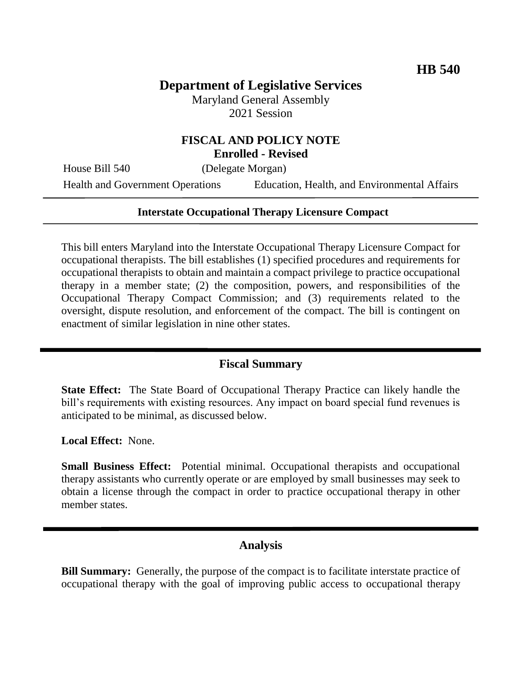# **Department of Legislative Services**

Maryland General Assembly 2021 Session

## **FISCAL AND POLICY NOTE Enrolled - Revised**

House Bill 540 (Delegate Morgan)

Health and Government Operations Education, Health, and Environmental Affairs

#### **Interstate Occupational Therapy Licensure Compact**

This bill enters Maryland into the Interstate Occupational Therapy Licensure Compact for occupational therapists. The bill establishes (1) specified procedures and requirements for occupational therapists to obtain and maintain a compact privilege to practice occupational therapy in a member state; (2) the composition, powers, and responsibilities of the Occupational Therapy Compact Commission; and (3) requirements related to the oversight, dispute resolution, and enforcement of the compact. The bill is contingent on enactment of similar legislation in nine other states.

#### **Fiscal Summary**

**State Effect:** The State Board of Occupational Therapy Practice can likely handle the bill's requirements with existing resources. Any impact on board special fund revenues is anticipated to be minimal, as discussed below.

**Local Effect:** None.

**Small Business Effect:** Potential minimal. Occupational therapists and occupational therapy assistants who currently operate or are employed by small businesses may seek to obtain a license through the compact in order to practice occupational therapy in other member states.

## **Analysis**

**Bill Summary:** Generally, the purpose of the compact is to facilitate interstate practice of occupational therapy with the goal of improving public access to occupational therapy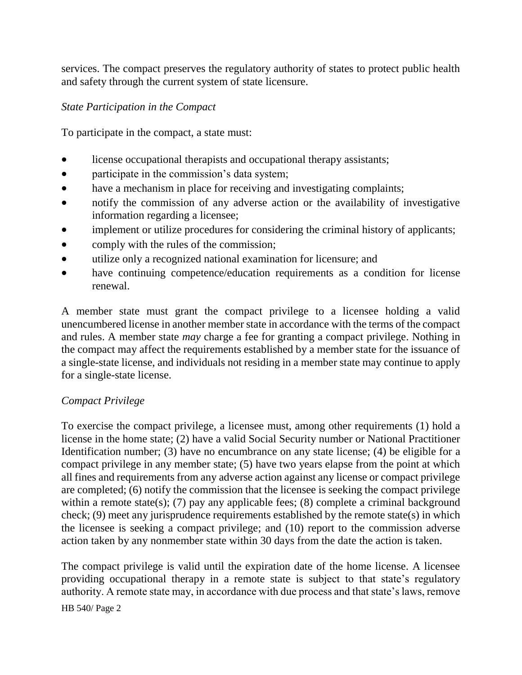services. The compact preserves the regulatory authority of states to protect public health and safety through the current system of state licensure.

#### *State Participation in the Compact*

To participate in the compact, a state must:

- license occupational therapists and occupational therapy assistants;
- participate in the commission's data system;
- have a mechanism in place for receiving and investigating complaints;
- notify the commission of any adverse action or the availability of investigative information regarding a licensee;
- implement or utilize procedures for considering the criminal history of applicants;
- comply with the rules of the commission;
- utilize only a recognized national examination for licensure; and
- have continuing competence/education requirements as a condition for license renewal.

A member state must grant the compact privilege to a licensee holding a valid unencumbered license in another member state in accordance with the terms of the compact and rules. A member state *may* charge a fee for granting a compact privilege. Nothing in the compact may affect the requirements established by a member state for the issuance of a single-state license, and individuals not residing in a member state may continue to apply for a single-state license.

## *Compact Privilege*

To exercise the compact privilege, a licensee must, among other requirements (1) hold a license in the home state; (2) have a valid Social Security number or National Practitioner Identification number; (3) have no encumbrance on any state license; (4) be eligible for a compact privilege in any member state; (5) have two years elapse from the point at which all fines and requirements from any adverse action against any license or compact privilege are completed; (6) notify the commission that the licensee is seeking the compact privilege within a remote state(s); (7) pay any applicable fees; (8) complete a criminal background check; (9) meet any jurisprudence requirements established by the remote state(s) in which the licensee is seeking a compact privilege; and (10) report to the commission adverse action taken by any nonmember state within 30 days from the date the action is taken.

The compact privilege is valid until the expiration date of the home license. A licensee providing occupational therapy in a remote state is subject to that state's regulatory authority. A remote state may, in accordance with due process and that state's laws, remove

#### HB 540/ Page 2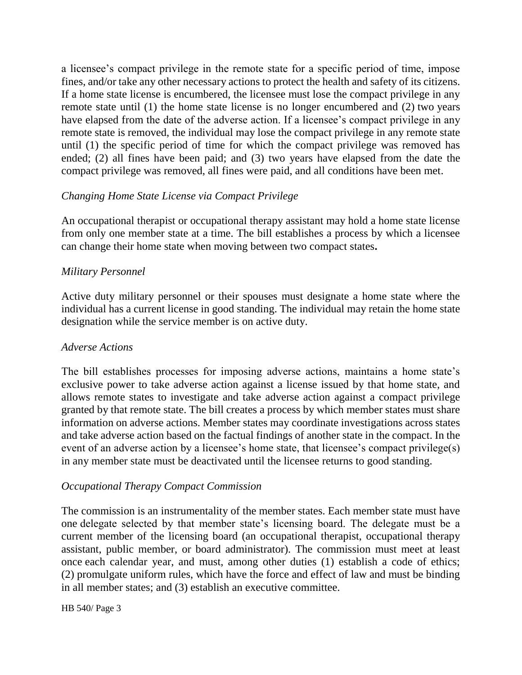a licensee's compact privilege in the remote state for a specific period of time, impose fines, and/or take any other necessary actions to protect the health and safety of its citizens. If a home state license is encumbered, the licensee must lose the compact privilege in any remote state until (1) the home state license is no longer encumbered and (2) two years have elapsed from the date of the adverse action. If a licensee's compact privilege in any remote state is removed, the individual may lose the compact privilege in any remote state until (1) the specific period of time for which the compact privilege was removed has ended; (2) all fines have been paid; and (3) two years have elapsed from the date the compact privilege was removed, all fines were paid, and all conditions have been met.

## *Changing Home State License via Compact Privilege*

An occupational therapist or occupational therapy assistant may hold a home state license from only one member state at a time. The bill establishes a process by which a licensee can change their home state when moving between two compact states**.**

## *Military Personnel*

Active duty military personnel or their spouses must designate a home state where the individual has a current license in good standing. The individual may retain the home state designation while the service member is on active duty.

#### *Adverse Actions*

The bill establishes processes for imposing adverse actions, maintains a home state's exclusive power to take adverse action against a license issued by that home state, and allows remote states to investigate and take adverse action against a compact privilege granted by that remote state. The bill creates a process by which member states must share information on adverse actions. Member states may coordinate investigations across states and take adverse action based on the factual findings of another state in the compact. In the event of an adverse action by a licensee's home state, that licensee's compact privilege(s) in any member state must be deactivated until the licensee returns to good standing.

#### *Occupational Therapy Compact Commission*

The commission is an instrumentality of the member states. Each member state must have one delegate selected by that member state's licensing board. The delegate must be a current member of the licensing board (an occupational therapist, occupational therapy assistant, public member, or board administrator). The commission must meet at least once each calendar year, and must, among other duties (1) establish a code of ethics; (2) promulgate uniform rules, which have the force and effect of law and must be binding in all member states; and (3) establish an executive committee.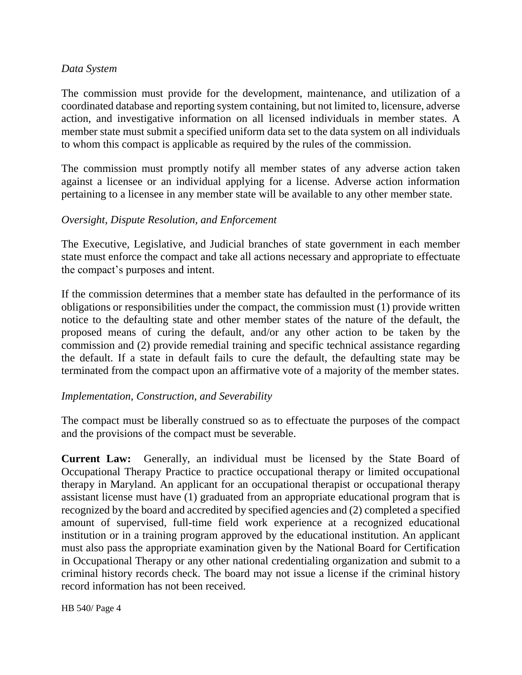#### *Data System*

The commission must provide for the development, maintenance, and utilization of a coordinated database and reporting system containing, but not limited to, licensure, adverse action, and investigative information on all licensed individuals in member states. A member state must submit a specified uniform data set to the data system on all individuals to whom this compact is applicable as required by the rules of the commission.

The commission must promptly notify all member states of any adverse action taken against a licensee or an individual applying for a license. Adverse action information pertaining to a licensee in any member state will be available to any other member state.

## *Oversight, Dispute Resolution, and Enforcement*

The Executive, Legislative, and Judicial branches of state government in each member state must enforce the compact and take all actions necessary and appropriate to effectuate the compact's purposes and intent.

If the commission determines that a member state has defaulted in the performance of its obligations or responsibilities under the compact, the commission must (1) provide written notice to the defaulting state and other member states of the nature of the default, the proposed means of curing the default, and/or any other action to be taken by the commission and (2) provide remedial training and specific technical assistance regarding the default. If a state in default fails to cure the default, the defaulting state may be terminated from the compact upon an affirmative vote of a majority of the member states.

## *Implementation, Construction, and Severability*

The compact must be liberally construed so as to effectuate the purposes of the compact and the provisions of the compact must be severable.

**Current Law:** Generally, an individual must be licensed by the State Board of Occupational Therapy Practice to practice occupational therapy or limited occupational therapy in Maryland. An applicant for an occupational therapist or occupational therapy assistant license must have (1) graduated from an appropriate educational program that is recognized by the board and accredited by specified agencies and (2) completed a specified amount of supervised, full-time field work experience at a recognized educational institution or in a training program approved by the educational institution. An applicant must also pass the appropriate examination given by the National Board for Certification in Occupational Therapy or any other national credentialing organization and submit to a criminal history records check. The board may not issue a license if the criminal history record information has not been received.